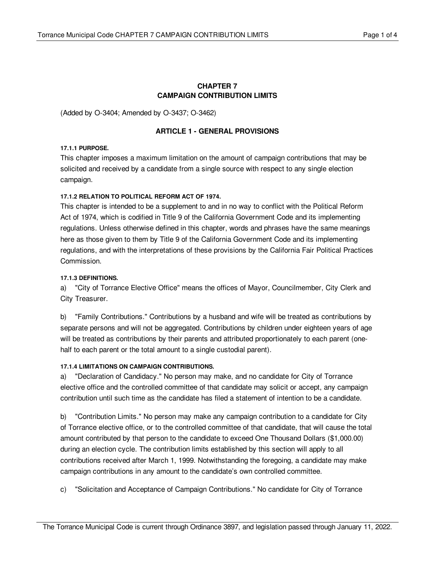## **CHAPTER 7 CAMPAIGN CONTRIBUTION LIMITS**

(Added by O-3404; Amended by O-3437; O-3462)

# **ARTICLE 1 - GENERAL PROVISIONS**

#### **17.1.1 PURPOSE.**

This chapter imposes a maximum limitation on the amount of campaign contributions that may be solicited and received by a candidate from a single source with respect to any single election campaign.

## **17.1.2 RELATION TO POLITICAL REFORM ACT OF 1974.**

This chapter is intended to be a supplement to and in no way to conflict with the Political Reform Act of 1974, which is codified in Title 9 of the California Government Code and its implementing regulations. Unless otherwise defined in this chapter, words and phrases have the same meanings here as those given to them by Title 9 of the California Government Code and its implementing regulations, and with the interpretations of these provisions by the California Fair Political Practices Commission.

# **17.1.3 DEFINITIONS.**

a) "City of Torrance Elective Office" means the offices of Mayor, Councilmember, City Clerk and City Treasurer.

b) "Family Contributions." Contributions by a husband and wife will be treated as contributions by separate persons and will not be aggregated. Contributions by children under eighteen years of age will be treated as contributions by their parents and attributed proportionately to each parent (onehalf to each parent or the total amount to a single custodial parent).

## **17.1.4 LIMITATIONS ON CAMPAIGN CONTRIBUTIONS.**

a) "Declaration of Candidacy." No person may make, and no candidate for City of Torrance elective office and the controlled committee of that candidate may solicit or accept, any campaign contribution until such time as the candidate has filed a statement of intention to be a candidate.

b) "Contribution Limits." No person may make any campaign contribution to a candidate for City of Torrance elective office, or to the controlled committee of that candidate, that will cause the total amount contributed by that person to the candidate to exceed One Thousand Dollars (\$1,000.00) during an election cycle. The contribution limits established by this section will apply to all contributions received after March 1, 1999. Notwithstanding the foregoing, a candidate may make campaign contributions in any amount to the candidate's own controlled committee.

c) "Solicitation and Acceptance of Campaign Contributions." No candidate for City of Torrance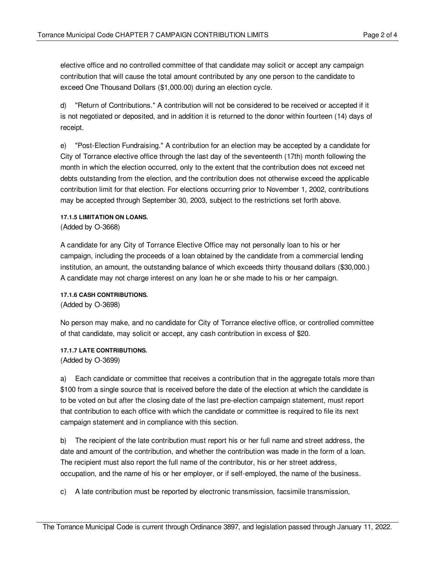elective office and no controlled committee of that candidate may solicit or accept any campaign contribution that will cause the total amount contributed by any one person to the candidate to exceed One Thousand Dollars (\$1,000.00) during an election cycle.

d) "Return of Contributions." A contribution will not be considered to be received or accepted if it is not negotiated or deposited, and in addition it is returned to the donor within fourteen (14) days of receipt.

e) "Post-Election Fundraising." A contribution for an election may be accepted by a candidate for City of Torrance elective office through the last day of the seventeenth (17th) month following the month in which the election occurred, only to the extent that the contribution does not exceed net debts outstanding from the election, and the contribution does not otherwise exceed the applicable contribution limit for that election. For elections occurring prior to November 1, 2002, contributions may be accepted through September 30, 2003, subject to the restrictions set forth above.

#### **17.1.5 LIMITATION ON LOANS.**

(Added by O-3668)

A candidate for any City of Torrance Elective Office may not personally loan to his or her campaign, including the proceeds of a loan obtained by the candidate from a commercial lending institution, an amount, the outstanding balance of which exceeds thirty thousand dollars (\$30,000.) A candidate may not charge interest on any loan he or she made to his or her campaign.

**17.1.6 CASH CONTRIBUTIONS.**

(Added by O-3698)

No person may make, and no candidate for City of Torrance elective office, or controlled committee of that candidate, may solicit or accept, any cash contribution in excess of \$20.

**17.1.7 LATE CONTRIBUTIONS.** (Added by O-3699)

a) Each candidate or committee that receives a contribution that in the aggregate totals more than \$100 from a single source that is received before the date of the election at which the candidate is to be voted on but after the closing date of the last pre-election campaign statement, must report that contribution to each office with which the candidate or committee is required to file its next campaign statement and in compliance with this section.

b) The recipient of the late contribution must report his or her full name and street address, the date and amount of the contribution, and whether the contribution was made in the form of a loan. The recipient must also report the full name of the contributor, his or her street address, occupation, and the name of his or her employer, or if self-employed, the name of the business.

c) A late contribution must be reported by electronic transmission, facsimile transmission,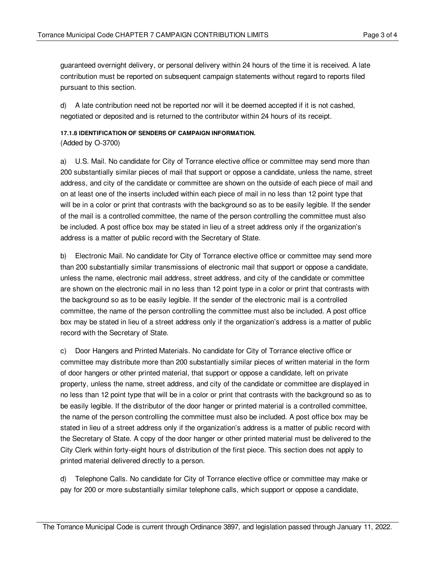guaranteed overnight delivery, or personal delivery within 24 hours of the time it is received. A late contribution must be reported on subsequent campaign statements without regard to reports filed pursuant to this section.

d) A late contribution need not be reported nor will it be deemed accepted if it is not cashed, negotiated or deposited and is returned to the contributor within 24 hours of its receipt.

# **17.1.8 IDENTIFICATION OF SENDERS OF CAMPAIGN INFORMATION.**

(Added by O-3700)

a) U.S. Mail. No candidate for City of Torrance elective office or committee may send more than 200 substantially similar pieces of mail that support or oppose a candidate, unless the name, street address, and city of the candidate or committee are shown on the outside of each piece of mail and on at least one of the inserts included within each piece of mail in no less than 12 point type that will be in a color or print that contrasts with the background so as to be easily legible. If the sender of the mail is a controlled committee, the name of the person controlling the committee must also be included. A post office box may be stated in lieu of a street address only if the organization's address is a matter of public record with the Secretary of State.

b) Electronic Mail. No candidate for City of Torrance elective office or committee may send more than 200 substantially similar transmissions of electronic mail that support or oppose a candidate, unless the name, electronic mail address, street address, and city of the candidate or committee are shown on the electronic mail in no less than 12 point type in a color or print that contrasts with the background so as to be easily legible. If the sender of the electronic mail is a controlled committee, the name of the person controlling the committee must also be included. A post office box may be stated in lieu of a street address only if the organization's address is a matter of public record with the Secretary of State.

c) Door Hangers and Printed Materials. No candidate for City of Torrance elective office or committee may distribute more than 200 substantially similar pieces of written material in the form of door hangers or other printed material, that support or oppose a candidate, left on private property, unless the name, street address, and city of the candidate or committee are displayed in no less than 12 point type that will be in a color or print that contrasts with the background so as to be easily legible. If the distributor of the door hanger or printed material is a controlled committee, the name of the person controlling the committee must also be included. A post office box may be stated in lieu of a street address only if the organization's address is a matter of public record with the Secretary of State. A copy of the door hanger or other printed material must be delivered to the City Clerk within forty-eight hours of distribution of the first piece. This section does not apply to printed material delivered directly to a person.

d) Telephone Calls. No candidate for City of Torrance elective office or committee may make or pay for 200 or more substantially similar telephone calls, which support or oppose a candidate,